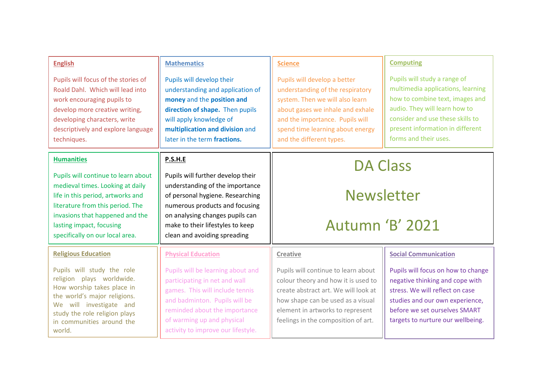| <b>English</b>                                                                                                                                                                                                                                     | <b>Mathematics</b>                                                                                                                                                                                                                                | <b>Science</b>                                                                                                                                                                                                                             | <b>Computing</b>                                                                                                                                                                                                                       |  |
|----------------------------------------------------------------------------------------------------------------------------------------------------------------------------------------------------------------------------------------------------|---------------------------------------------------------------------------------------------------------------------------------------------------------------------------------------------------------------------------------------------------|--------------------------------------------------------------------------------------------------------------------------------------------------------------------------------------------------------------------------------------------|----------------------------------------------------------------------------------------------------------------------------------------------------------------------------------------------------------------------------------------|--|
| Pupils will focus of the stories of<br>Roald Dahl. Which will lead into<br>work encouraging pupils to<br>develop more creative writing,<br>developing characters, write<br>descriptively and explore language<br>techniques.                       | Pupils will develop their<br>understanding and application of<br>money and the position and<br>direction of shape. Then pupils<br>will apply knowledge of<br>multiplication and division and<br>later in the term fractions.                      | Pupils will develop a better<br>understanding of the respiratory<br>system. Then we will also learn<br>about gases we inhale and exhale<br>and the importance. Pupils will<br>spend time learning about energy<br>and the different types. | Pupils will study a range of<br>multimedia applications, learning<br>how to combine text, images and<br>audio. They will learn how to<br>consider and use these skills to<br>present information in different<br>forms and their uses. |  |
| <b>Humanities</b>                                                                                                                                                                                                                                  | P.S.H.E                                                                                                                                                                                                                                           | <b>DA Class</b>                                                                                                                                                                                                                            |                                                                                                                                                                                                                                        |  |
| Pupils will continue to learn about<br>medieval times. Looking at daily<br>life in this period, artworks and<br>literature from this period. The<br>invasions that happened and the<br>lasting impact, focusing<br>specifically on our local area. | Pupils will further develop their<br>understanding of the importance<br>of personal hygiene. Researching<br>numerous products and focusing<br>on analysing changes pupils can<br>make to their lifestyles to keep<br>clean and avoiding spreading |                                                                                                                                                                                                                                            | <b>Newsletter</b><br><b>Autumn 'B' 2021</b>                                                                                                                                                                                            |  |
| <b>Religious Education</b>                                                                                                                                                                                                                         | <b>Physical Education</b>                                                                                                                                                                                                                         | <b>Creative</b>                                                                                                                                                                                                                            | <b>Social Communication</b>                                                                                                                                                                                                            |  |
| Pupils will study the role<br>religion plays worldwide.<br>How worship takes place in<br>the world's major religions.<br>We will investigate and<br>study the role religion plays<br>in communities around the<br>world.                           | Pupils will be learning about and<br>participating in net and wall<br>games. This will include tennis<br>and badminton. Pupils will be<br>reminded about the importance<br>of warming up and physical<br>activity to improve our lifestyle.       | Pupils will continue to learn about<br>colour theory and how it is used to<br>create abstract art. We will look at<br>how shape can be used as a visual<br>element in artworks to represent<br>feelings in the composition of art.         | Pupils will focus on how to change<br>negative thinking and cope with<br>stress. We will reflect on case<br>studies and our own experience,<br>before we set ourselves SMART<br>targets to nurture our wellbeing.                      |  |